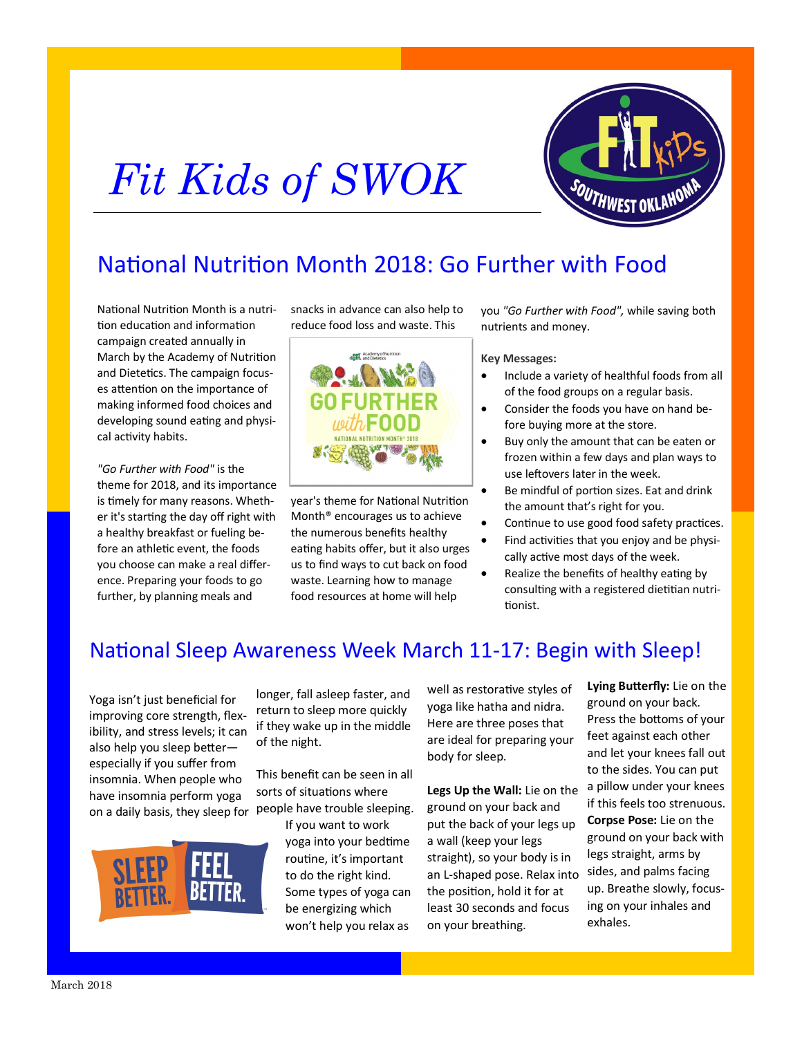# *Fit Kids of SWOK*



## National Nutrition Month 2018: Go Further with Food

National Nutrition Month is a nutrition education and information campaign created annually in March by the Academy of Nutrition and Dietetics. The campaign focuses attention on the importance of making informed food choices and developing sound eating and physical activity habits.

*"Go Further with Food"* is the theme for 2018, and its importance is timely for many reasons. Whether it's starting the day off right with a healthy breakfast or fueling before an athletic event, the foods you choose can make a real difference. Preparing your foods to go further, by planning meals and

snacks in advance can also help to reduce food loss and waste. This



year's theme for National Nutrition Month® encourages us to achieve the numerous benefits healthy eating habits offer, but it also urges us to find ways to cut back on food waste. Learning how to manage food resources at home will help

you *"Go Further with Food",* while saving both nutrients and money.

#### **Key Messages:**

- Include a variety of healthful foods from all of the food groups on a regular basis.
- Consider the foods you have on hand before buying more at the store.
- Buy only the amount that can be eaten or frozen within a few days and plan ways to use leftovers later in the week.
- Be mindful of portion sizes. Eat and drink the amount that's right for you.
- Continue to use good food safety practices.
- Find activities that you enjoy and be physically active most days of the week.
- Realize the benefits of healthy eating by consulting with a registered dietitian nutritionist.

## National Sleep Awareness Week March 11-17: Begin with Sleep!

Yoga isn't just beneficial for improving core strength, flexibility, and stress levels; it can also help you sleep better especially if you suffer from [insomnia.](https://sleepfoundation.org/insomnia/content/what-is-insomnia) When people who have insomnia perform yoga on a daily basis, they sleep for people have trouble sleeping.



longer, fall asleep faster, and return to sleep more quickly if they wake up in the middle of the night.

This benefit can be seen in all sorts of situations where

> If you want to work yoga into your bedtime routine, it's important to do the right kind. Some types of yoga can be energizing which won't help you relax as

well as restorative styles of yoga like hatha and nidra. Here are three poses that are ideal for preparing your body for sleep.

**Legs Up the Wall:** Lie on the ground on your back and put the back of your legs up a wall (keep your legs straight), so your body is in an L-shaped pose. Relax into the position, hold it for at least 30 seconds and focus on your breathing.

**Lying Butterfly:** Lie on the ground on your back. Press the bottoms of your feet against each other and let your knees fall out to the sides. You can put a pillow under your knees if this feels too strenuous. **Corpse Pose:** Lie on the ground on your back with legs straight, arms by sides, and palms facing up. Breathe slowly, focusing on your inhales and exhales.